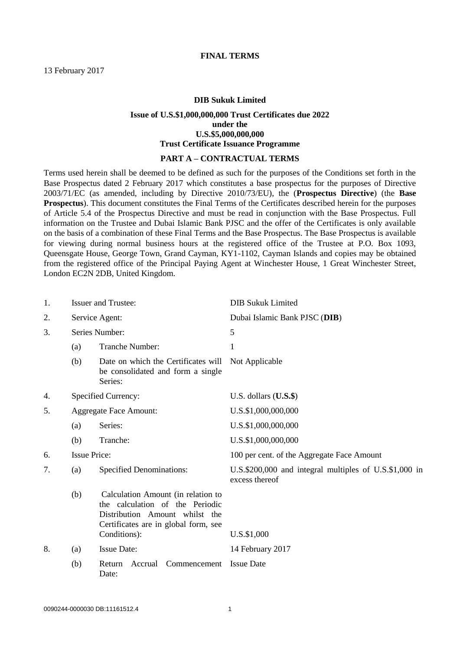## **DIB Sukuk Limited**

## **Issue of U.S.\$1,000,000,000 Trust Certificates due 2022 under the U.S.\$5,000,000,000 Trust Certificate Issuance Programme**

#### **PART A – CONTRACTUAL TERMS**

Terms used herein shall be deemed to be defined as such for the purposes of the Conditions set forth in the Base Prospectus dated 2 February 2017 which constitutes a base prospectus for the purposes of Directive 2003/71/EC (as amended, including by Directive 2010/73/EU), the (**Prospectus Directive**) (the **Base Prospectus**). This document constitutes the Final Terms of the Certificates described herein for the purposes of Article 5.4 of the Prospectus Directive and must be read in conjunction with the Base Prospectus. Full information on the Trustee and Dubai Islamic Bank PJSC and the offer of the Certificates is only available on the basis of a combination of these Final Terms and the Base Prospectus. The Base Prospectus is available for viewing during normal business hours at the registered office of the Trustee at P.O. Box 1093, Queensgate House, George Town, Grand Cayman, KY1-1102, Cayman Islands and copies may be obtained from the registered office of the Principal Paying Agent at Winchester House, 1 Great Winchester Street, London EC2N 2DB, United Kingdom.

| 1. |                               | <b>Issuer and Trustee:</b>                                                                                                                                      | <b>DIB Sukuk Limited</b>                                                 |
|----|-------------------------------|-----------------------------------------------------------------------------------------------------------------------------------------------------------------|--------------------------------------------------------------------------|
| 2. | Service Agent:                |                                                                                                                                                                 | Dubai Islamic Bank PJSC (DIB)                                            |
| 3. | Series Number:                |                                                                                                                                                                 | 5                                                                        |
|    | (a)                           | Tranche Number:                                                                                                                                                 | 1                                                                        |
|    | (b)                           | Date on which the Certificates will<br>be consolidated and form a single<br>Series:                                                                             | Not Applicable                                                           |
| 4. |                               | <b>Specified Currency:</b>                                                                                                                                      | U.S. dollars $($ U.S. $$)$                                               |
| 5. | <b>Aggregate Face Amount:</b> |                                                                                                                                                                 | U.S.\$1,000,000,000                                                      |
|    | (a)                           | Series:                                                                                                                                                         | U.S.\$1,000,000,000                                                      |
|    | (b)                           | Tranche:                                                                                                                                                        | U.S.\$1,000,000,000                                                      |
| 6. | <b>Issue Price:</b>           |                                                                                                                                                                 | 100 per cent. of the Aggregate Face Amount                               |
| 7. | (a)                           | <b>Specified Denominations:</b>                                                                                                                                 | U.S.\$200,000 and integral multiples of U.S.\$1,000 in<br>excess thereof |
|    | (b)                           | Calculation Amount (in relation to<br>the calculation of the Periodic<br>Distribution Amount whilst the<br>Certificates are in global form, see<br>Conditions): | U.S.\$1,000                                                              |
| 8. | (a)                           | <b>Issue Date:</b>                                                                                                                                              | 14 February 2017                                                         |
|    |                               |                                                                                                                                                                 |                                                                          |
|    | (b)                           | Accrual<br>Commencement<br>Return<br>Date:                                                                                                                      | <b>Issue Date</b>                                                        |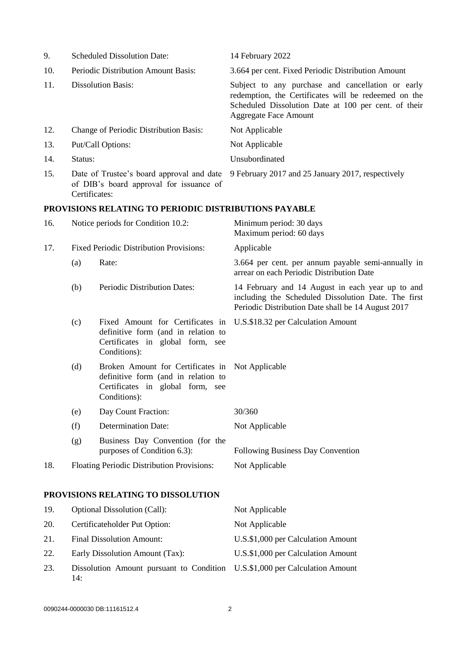| 9.  |                                                                                                       | <b>Scheduled Dissolution Date:</b>                                                                                                          | 14 February 2022                                                                                                                                                                                  |
|-----|-------------------------------------------------------------------------------------------------------|---------------------------------------------------------------------------------------------------------------------------------------------|---------------------------------------------------------------------------------------------------------------------------------------------------------------------------------------------------|
| 10. | Periodic Distribution Amount Basis:                                                                   |                                                                                                                                             | 3.664 per cent. Fixed Periodic Distribution Amount                                                                                                                                                |
| 11. | <b>Dissolution Basis:</b>                                                                             |                                                                                                                                             | Subject to any purchase and cancellation or early<br>redemption, the Certificates will be redeemed on the<br>Scheduled Dissolution Date at 100 per cent. of their<br><b>Aggregate Face Amount</b> |
| 12. |                                                                                                       | Change of Periodic Distribution Basis:                                                                                                      | Not Applicable                                                                                                                                                                                    |
| 13. |                                                                                                       | Put/Call Options:                                                                                                                           | Not Applicable                                                                                                                                                                                    |
| 14. | Status:                                                                                               |                                                                                                                                             | Unsubordinated                                                                                                                                                                                    |
| 15. | Date of Trustee's board approval and date<br>of DIB's board approval for issuance of<br>Certificates: |                                                                                                                                             | 9 February 2017 and 25 January 2017, respectively                                                                                                                                                 |
|     |                                                                                                       | PROVISIONS RELATING TO PERIODIC DISTRIBUTIONS PAYABLE                                                                                       |                                                                                                                                                                                                   |
| 16. |                                                                                                       | Notice periods for Condition 10.2:                                                                                                          | Minimum period: 30 days<br>Maximum period: 60 days                                                                                                                                                |
| 17. |                                                                                                       | <b>Fixed Periodic Distribution Provisions:</b>                                                                                              | Applicable                                                                                                                                                                                        |
|     | (a)                                                                                                   | Rate:                                                                                                                                       | 3.664 per cent. per annum payable semi-annually in<br>arrear on each Periodic Distribution Date                                                                                                   |
|     | (b)                                                                                                   | Periodic Distribution Dates:                                                                                                                | 14 February and 14 August in each year up to and<br>including the Scheduled Dissolution Date. The first<br>Periodic Distribution Date shall be 14 August 2017                                     |
|     | (c)                                                                                                   | Fixed Amount for Certificates in<br>definitive form (and in relation to<br>Certificates in global form, see<br>Conditions):                 | U.S.\$18.32 per Calculation Amount                                                                                                                                                                |
|     | (d)                                                                                                   | Broken Amount for Certificates in Not Applicable<br>definitive form (and in relation to<br>Certificates in global form, see<br>Conditions): |                                                                                                                                                                                                   |
|     | (e)                                                                                                   | Day Count Fraction:                                                                                                                         | 30/360                                                                                                                                                                                            |
|     | (f)                                                                                                   | <b>Determination Date:</b>                                                                                                                  | Not Applicable                                                                                                                                                                                    |
|     | (g)                                                                                                   | Business Day Convention (for the<br>purposes of Condition 6.3):                                                                             | Following Business Day Convention                                                                                                                                                                 |
| 18. |                                                                                                       | Floating Periodic Distribution Provisions:                                                                                                  | Not Applicable                                                                                                                                                                                    |
|     |                                                                                                       | PROVISIONS RELATING TO DISSOLUTION                                                                                                          |                                                                                                                                                                                                   |

| 19. | <b>Optional Dissolution (Call):</b>                                                | Not Applicable                     |
|-----|------------------------------------------------------------------------------------|------------------------------------|
| 20. | Certificateholder Put Option:                                                      | Not Applicable                     |
| 21. | <b>Final Dissolution Amount:</b>                                                   | U.S.\$1,000 per Calculation Amount |
| 22. | Early Dissolution Amount (Tax):                                                    | U.S.\$1,000 per Calculation Amount |
| 23. | Dissolution Amount pursuant to Condition U.S.\$1,000 per Calculation Amount<br>14: |                                    |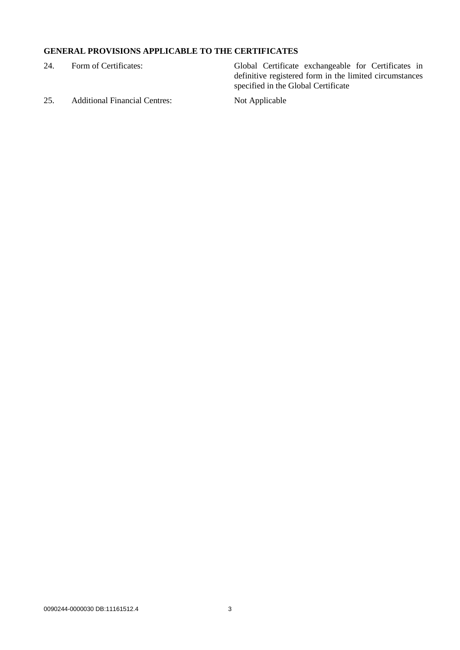# **GENERAL PROVISIONS APPLICABLE TO THE CERTIFICATES**

| 24. | Form of Certificates: |
|-----|-----------------------|
|     |                       |

Global Certificate exchangeable for Certificates in definitive registered form in the limited circumstances specified in the Global Certificate

25. Additional Financial Centres: Not Applicable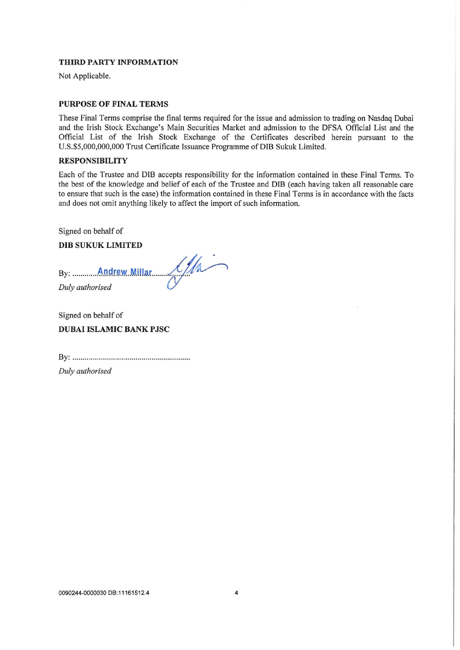## THIRD PARTY INFORMATION

Not Applicable.

#### **PURPOSE OF FINAL TERMS**

These Final Terms comprise the final terms required for the issue and admission to trading on Nasdaq Dubai and the Irish Stock Exchange's Main Securities Market and admission to the DFSA Official List and the Official List of the Irish Stock Exchange of the Certificates described herein pursuant to the U.S.\$5,000,000,000 Trust Certificate Issuance Programme of DIB Sukuk Limited.

#### **RESPONSIBILITY**

Each of the Trustee and DIB accepts responsibility for the information contained in these Final Terms. To the best of the knowledge and belief of each of the Trustee and DIB (each having taken all reasonable care to ensure that such is the case) the information contained in these Final Terms is in accordance with the facts and does not omit anything likely to affect the import of such information.

Signed on behalf of

#### **DIB SUKUK LIMITED**

Signed on behalf of **DUBAI ISLAMIC BANK PJSC** 

Duly authorised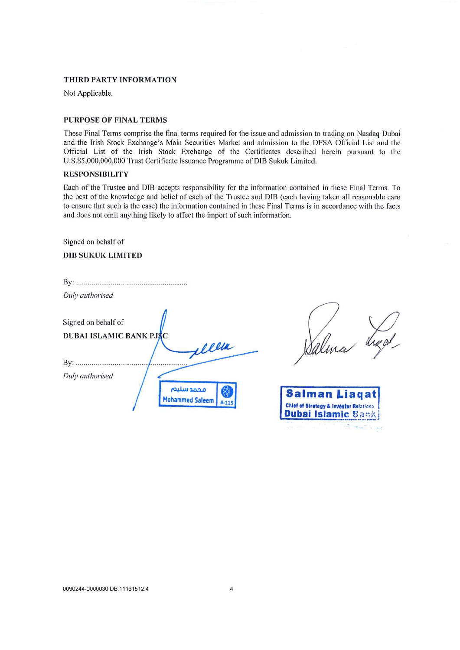#### THIRD PARTY INFORMATION

Not Applicable.

#### **PURPOSE OF FINAL TERMS**

These Final Terms comprise the final terms required for the issue and admission to trading on Nasdaq Dubai and the Irish Stock Exchange's Main Securities Market and admission to the DFSA Official List and the Official List of the Irish Stock Exchange of the Certificates described herein pursuant to the U.S.\$5,000,000,000 Trust Certificate Issuance Programme of DIB Sukuk Limited.

## **RESPONSIBILITY**

Each of the Trustee and DIB accepts responsibility for the information contained in these Final Terms. To the best of the knowledge and belief of each of the Trustee and DIB (each having taken all reasonable care to ensure that such is the case) the information contained in these Final Terms is in accordance with the facts and does not omit anything likely to affect the import of such information.

Signed on behalf of

#### **DIB SUKUK LIMITED**

| Duly authorised                |
|--------------------------------|
| Signed on behalf of            |
| <b>DUBAI ISLAMIC BANK PJSC</b> |
| <i>ellen</i>                   |
| By:                            |
| Duly authorised                |
| محمد سليم<br>Mohammed Saleem   |

Salma

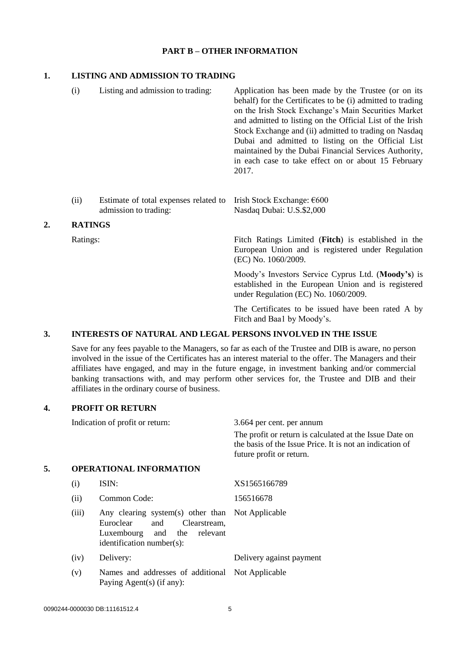## **PART B – OTHER INFORMATION**

## **1. LISTING AND ADMISSION TO TRADING**

| (i) | Listing and admission to trading: | Application has been made by the Trustee (or on its<br>behalf) for the Certificates to be (i) admitted to trading<br>on the Irish Stock Exchange's Main Securities Market<br>and admitted to listing on the Official List of the Irish<br>Stock Exchange and (ii) admitted to trading on Nasdaq<br>Dubai and admitted to listing on the Official List<br>maintained by the Dubai Financial Services Authority,<br>in each case to take effect on or about 15 February<br>2017. |
|-----|-----------------------------------|--------------------------------------------------------------------------------------------------------------------------------------------------------------------------------------------------------------------------------------------------------------------------------------------------------------------------------------------------------------------------------------------------------------------------------------------------------------------------------|
|     |                                   |                                                                                                                                                                                                                                                                                                                                                                                                                                                                                |

(ii) Estimate of total expenses related to Irish Stock Exchange: €600 admission to trading: Nasdaq Dubai: U.S.\$2,000

## **2. RATINGS**

Ratings: Fitch Ratings Limited (**Fitch**) is established in the European Union and is registered under Regulation (EC) No. 1060/2009.

> Moody's Investors Service Cyprus Ltd. (**Moody's**) is established in the European Union and is registered under Regulation (EC) No. 1060/2009.

> The Certificates to be issued have been rated A by Fitch and Baa1 by Moody's.

# **3. INTERESTS OF NATURAL AND LEGAL PERSONS INVOLVED IN THE ISSUE**

Save for any fees payable to the Managers, so far as each of the Trustee and DIB is aware, no person involved in the issue of the Certificates has an interest material to the offer. The Managers and their affiliates have engaged, and may in the future engage, in investment banking and/or commercial banking transactions with, and may perform other services for, the Trustee and DIB and their affiliates in the ordinary course of business.

## **4. PROFIT OR RETURN**

|    |       | Indication of profit or return:                                                                                                         | 3.664 per cent. per annum                                                                                                                       |  |
|----|-------|-----------------------------------------------------------------------------------------------------------------------------------------|-------------------------------------------------------------------------------------------------------------------------------------------------|--|
|    |       |                                                                                                                                         | The profit or return is calculated at the Issue Date on<br>the basis of the Issue Price. It is not an indication of<br>future profit or return. |  |
| 5. |       | <b>OPERATIONAL INFORMATION</b>                                                                                                          |                                                                                                                                                 |  |
|    | (i)   | ISIN:                                                                                                                                   | XS1565166789                                                                                                                                    |  |
|    | (ii)  | Common Code:                                                                                                                            | 156516678                                                                                                                                       |  |
|    | (iii) | Any clearing system(s) other than<br>Euroclear<br>and<br>Clearstream,<br>Luxembourg and<br>the<br>relevant<br>identification number(s): | Not Applicable                                                                                                                                  |  |
|    | (iv)  | Delivery:                                                                                                                               | Delivery against payment                                                                                                                        |  |
|    | (v)   | Names and addresses of additional<br>Paying Agent(s) (if any):                                                                          | Not Applicable                                                                                                                                  |  |
|    |       |                                                                                                                                         |                                                                                                                                                 |  |